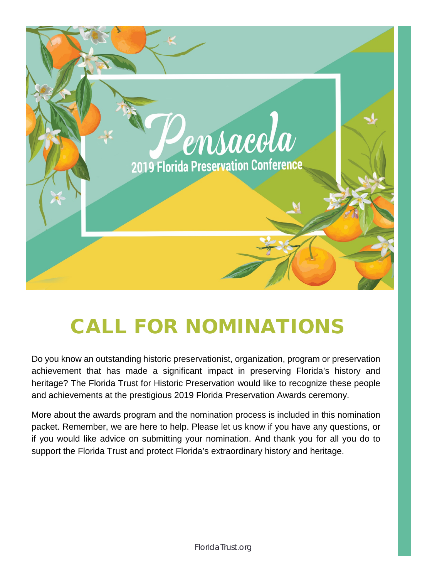

# CALL FOR NOMINATIONS

Do you know an outstanding historic preservationist, organization, program or preservation achievement that has made a significant impact in preserving Florida's history and heritage? The Florida Trust for Historic Preservation would like to recognize these people and achievements at the prestigious 2019 Florida Preservation Awards ceremony.

More about the awards program and the nomination process is included in this nomination packet. Remember, we are here to help. Please let us know if you have any questions, or if you would like advice on submitting your nomination. And thank you for all you do to support the Florida Trust and protect Florida's extraordinary history and heritage.

FloridaTrust.org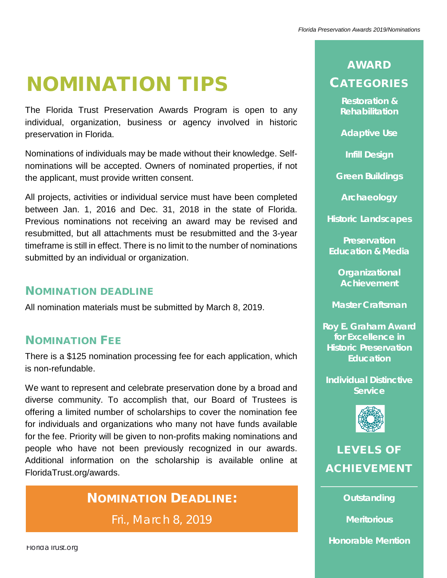# NOMINATION TIPS

The Florida Trust Preservation Awards Program is open to any individual, organization, business or agency involved in historic preservation in Florida.

Nominations of individuals may be made without their knowledge. Selfnominations will be accepted. Owners of nominated properties, if not the applicant, must provide written consent.

All projects, activities or individual service must have been completed between Jan. 1, 2016 and Dec. 31, 2018 in the state of Florida. Previous nominations not receiving an award may be revised and resubmitted, but all attachments must be resubmitted and the 3-year timeframe is still in effect. There is no limit to the number of nominations submitted by an individual or organization.

## NOMINATION DEADLINE

All nomination materials must be submitted by March 8, 2019.

# NOMINATION FEE

There is a \$125 nomination processing fee for each application, which is non-refundable.

We want to represent and celebrate preservation done by a broad and diverse community. To accomplish that, our Board of Trustees is offering a limited number of scholarships to cover the nomination fee for individuals and organizations who many not have funds available for the fee. Priority will be given to non-profits making nominations and people who have not been previously recognized in our awards. Additional information on the scholarship is available online at FloridaTrust.org/awards.

# NOMINATION DEADLINE:

Fri., March 8, 2019

**Restoration & Rehabilitation**

**Adaptive Use**

**Infill Design**

**Green Buildings**

**Archaeology**

**Historic Landscapes**

**Preservation Education & Media**

**Organizational Achievement**

**Master Craftsman**

**Roy E. Graham Award for Excellence in Historic Preservation Education**

**Individual Distinctive Service**



# LEVELS OF ACHIEVEMENT

**Outstanding** 

**Meritorious** 

**Honorable Mention**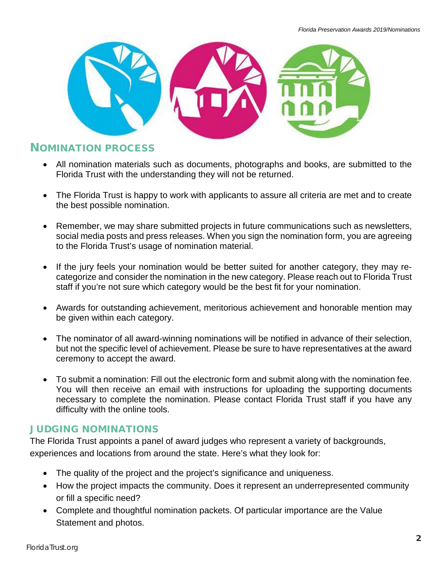

### NOMINATION PROCESS

- All nomination materials such as documents, photographs and books, are submitted to the Florida Trust with the understanding they will not be returned.
- The Florida Trust is happy to work with applicants to assure all criteria are met and to create the best possible nomination.
- Remember, we may share submitted projects in future communications such as newsletters, social media posts and press releases. When you sign the nomination form, you are agreeing to the Florida Trust's usage of nomination material.
- If the jury feels your nomination would be better suited for another category, they may recategorize and consider the nomination in the new category. Please reach out to Florida Trust staff if you're not sure which category would be the best fit for your nomination.
- Awards for outstanding achievement, meritorious achievement and honorable mention may be given within each category.
- The nominator of all award-winning nominations will be notified in advance of their selection, but not the specific level of achievement. Please be sure to have representatives at the award ceremony to accept the award.
- To submit a nomination: Fill out the electronic form and submit along with the nomination fee. You will then receive an email with instructions for uploading the supporting documents necessary to complete the nomination. Please contact Florida Trust staff if you have any difficulty with the online tools.

### JUDGING NOMINATIONS

The Florida Trust appoints a panel of award judges who represent a variety of backgrounds, experiences and locations from around the state. Here's what they look for:

- The quality of the project and the project's significance and uniqueness.
- How the project impacts the community. Does it represent an underrepresented community or fill a specific need?
- Complete and thoughtful nomination packets. Of particular importance are the Value Statement and photos.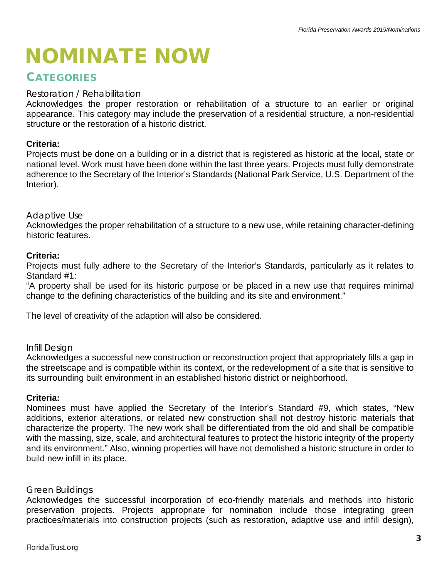# NOMINATE NOW

## **CATEGORIES**

#### Restoration / Rehabilitation

Acknowledges the proper restoration or rehabilitation of a structure to an earlier or original appearance. This category may include the preservation of a residential structure, a non-residential structure or the restoration of a historic district.

#### **Criteria:**

Projects must be done on a building or in a district that is registered as historic at the local, state or national level. Work must have been done within the last three years. Projects must fully demonstrate adherence to the Secretary of the Interior's Standards (National Park Service, U.S. Department of the Interior).

#### Adaptive Use

Acknowledges the proper rehabilitation of a structure to a new use, while retaining character-defining historic features.

#### **Criteria:**

Projects must fully adhere to the Secretary of the Interior's Standards, particularly as it relates to Standard #1:

"A property shall be used for its historic purpose or be placed in a new use that requires minimal change to the defining characteristics of the building and its site and environment."

The level of creativity of the adaption will also be considered.

#### Infill Design

Acknowledges a successful new construction or reconstruction project that appropriately fills a gap in the streetscape and is compatible within its context, or the redevelopment of a site that is sensitive to its surrounding built environment in an established historic district or neighborhood.

#### **Criteria:**

Nominees must have applied the Secretary of the Interior's Standard #9, which states, "New additions, exterior alterations, or related new construction shall not destroy historic materials that characterize the property. The new work shall be differentiated from the old and shall be compatible with the massing, size, scale, and architectural features to protect the historic integrity of the property and its environment." Also, winning properties will have not demolished a historic structure in order to build new infill in its place.

#### Green Buildings

Acknowledges the successful incorporation of eco-friendly materials and methods into historic preservation projects. Projects appropriate for nomination include those integrating green practices/materials into construction projects (such as restoration, adaptive use and infill design),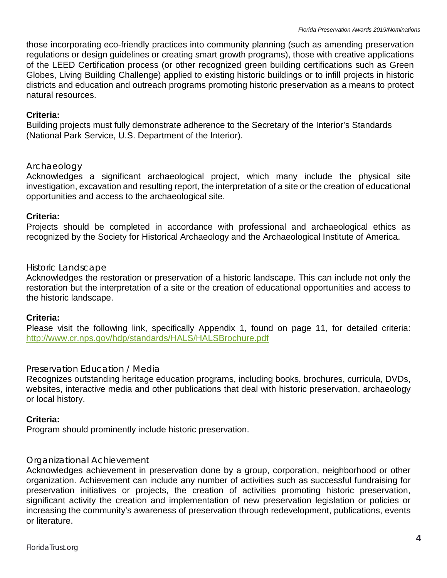those incorporating eco-friendly practices into community planning (such as amending preservation regulations or design guidelines or creating smart growth programs), those with creative applications of the LEED Certification process (or other recognized green building certifications such as Green Globes, Living Building Challenge) applied to existing historic buildings or to infill projects in historic districts and education and outreach programs promoting historic preservation as a means to protect natural resources.

#### **Criteria:**

Building projects must fully demonstrate adherence to the Secretary of the Interior's Standards (National Park Service, U.S. Department of the Interior).

#### Archaeology

Acknowledges a significant archaeological project, which many include the physical site investigation, excavation and resulting report, the interpretation of a site or the creation of educational opportunities and access to the archaeological site.

#### **Criteria:**

Projects should be completed in accordance with professional and archaeological ethics as recognized by the Society for Historical Archaeology and the Archaeological Institute of America.

#### Historic Landscape

Acknowledges the restoration or preservation of a historic landscape. This can include not only the restoration but the interpretation of a site or the creation of educational opportunities and access to the historic landscape.

#### **Criteria:**

Please visit the following link, specifically Appendix 1, found on page 11, for detailed criteria: <http://www.cr.nps.gov/hdp/standards/HALS/HALSBrochure.pdf>

#### Preservation Education / Media

Recognizes outstanding heritage education programs, including books, brochures, curricula, DVDs, websites, interactive media and other publications that deal with historic preservation, archaeology or local history.

#### **Criteria:**

Program should prominently include historic preservation.

#### Organizational Achievement

Acknowledges achievement in preservation done by a group, corporation, neighborhood or other organization. Achievement can include any number of activities such as successful fundraising for preservation initiatives or projects, the creation of activities promoting historic preservation, significant activity the creation and implementation of new preservation legislation or policies or increasing the community's awareness of preservation through redevelopment, publications, events or literature.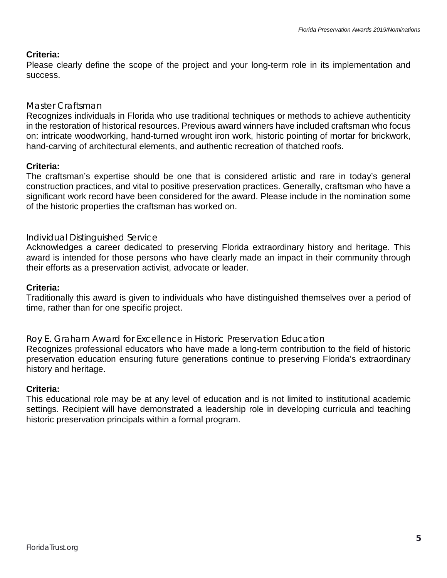#### **Criteria:**

Please clearly define the scope of the project and your long-term role in its implementation and success.

#### Master Craftsman

Recognizes individuals in Florida who use traditional techniques or methods to achieve authenticity in the restoration of historical resources. Previous award winners have included craftsman who focus on: intricate woodworking, hand-turned wrought iron work, historic pointing of mortar for brickwork, hand-carving of architectural elements, and authentic recreation of thatched roofs.

#### **Criteria:**

The craftsman's expertise should be one that is considered artistic and rare in today's general construction practices, and vital to positive preservation practices. Generally, craftsman who have a significant work record have been considered for the award. Please include in the nomination some of the historic properties the craftsman has worked on.

#### Individual Distinguished Service

Acknowledges a career dedicated to preserving Florida extraordinary history and heritage. This award is intended for those persons who have clearly made an impact in their community through their efforts as a preservation activist, advocate or leader.

#### **Criteria:**

Traditionally this award is given to individuals who have distinguished themselves over a period of time, rather than for one specific project.

Roy E. Graham Award for Excellence in Historic Preservation Education

Recognizes professional educators who have made a long-term contribution to the field of historic preservation education ensuring future generations continue to preserving Florida's extraordinary history and heritage.

#### **Criteria:**

This educational role may be at any level of education and is not limited to institutional academic settings. Recipient will have demonstrated a leadership role in developing curricula and teaching historic preservation principals within a formal program.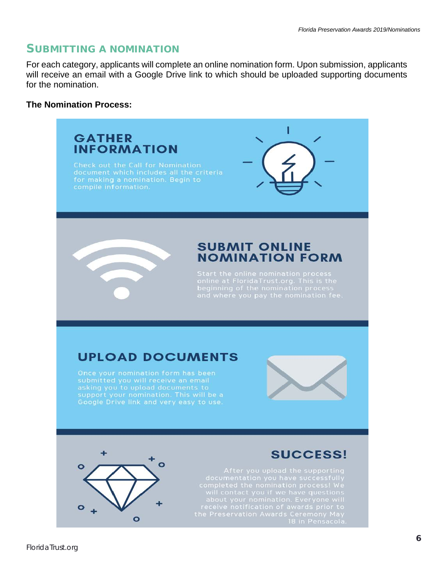### SUBMITTING A NOMINATION

For each category, applicants will complete an online nomination form. Upon submission, applicants will receive an email with a Google Drive link to which should be uploaded supporting documents for the nomination.

#### **The Nomination Process:**



 $\bullet$